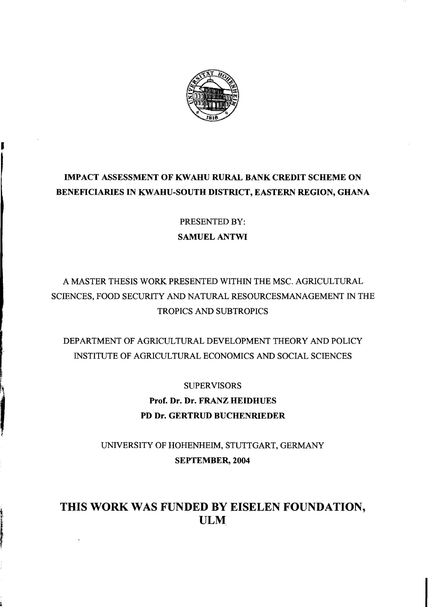

## **IMPACT ASSESSMENT OF KWAHU RURAL BANK CREDIT SCHEME ON BENEFICIARIES IN KWAHU-SOUTH DISTRICT, EASTERN REGION, GHANA**

PRESENTED BY: **SAMUEL ANTWI** 

## A MASTER THESIS WORK PRESENTED WITHIN THE MSC. AGRICULTURAL SCIENCES, FOOD SECURITY AND NATURAL RESOURCESMANAGEMENT IN THE TROPICS AND SUBTROPICS

DEPARTMENT OF AGRICULTURAL DEVELOPMENT THEORY AND POLICY INSTITUTE OF AGRICULTURAL ECONOMICS AND SOCIAL SCIENCES

> SUPERVISORS **Prof. Dr. Dr. FRANZ HEIDHUES PD Dr. GERTRUD BUCHENRlEDER**

UNIVERSITY OF HOHENHEIM, STUTTGART, GERMANY **SEPTEMBER, 2004** 

## **THIS WORK WAS FUNDED BY EISELEN FOUNDATION, ULM**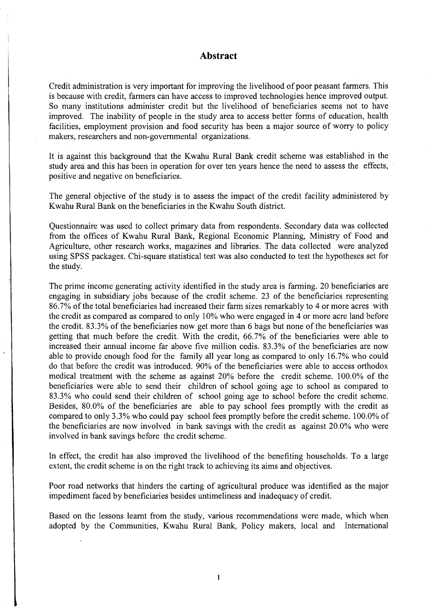## **Abstract**

Credit administration is very important for improving the livelihood of poor peasant farmers. This is because with credit, farmers can have access to improved technologies hence improved output. So many institutions administer credit but the livelihood of beneficiaries seems not to have improved. The inability of people in the study area to access better forms of education, health facilities, employment provision and food security has been a major source of worry to policy makers, researchers and non-governmental organizations.

It is against this background that the Kwahu Rural Bank credit scheme was established in the study area and this has been in operation for over ten years hence the need to assess the effects, positive and negative on beneficiaries.

The general objective of the study is to assess the impact of the credit facility administered by K wahu Rural Bank on the beneficiaries in the K wahu South district.

Questionnaire was used to collect primary data from respondents. Secondary data was collected from the offices of Kwahu Rural Bank, Regional Economic Planning, Ministry of Food and Agriculture, other research works, magazines and libraries. The data collected were analyzed using SPSS packages. Chi-square statistical test was also conducted to test the hypotheses set for the study.

The prime income generating activity identified in the study area is farming. 20 beneficiaries are engaging in subsidiary jobs because of the credit scheme. 23 of the beneficiaries representing 86.7% ofthe total beneficiaries had increased their farm sizes remarkably to 4 or more acres with the credit as compared as compared to only 10% who were engaged in 4 or more acre land before the credit. 83.3% of the beneficiaries now get more than 6 bags but none of the beneficiaries was getting that much before the credit. With the credit, 66.7% of the beneficiaries were able to increased their annual income far above five million cedis. 83.3% of the beneficiaries are now able to provide enough food for the family all year long as compared to only 16.7% who could do that before the credit was introduced. 90% of the beneficiaries were able to access orthodox medical treatment with the scheme as against 20% before the credit scheme. 100.0% of the beneficiaries were able to send their children of school going age to school as compared to 83.3% who could send their children of school going age to school before the credit scheme. Besides, 80.0% of the beneficiaries are able to pay school fees promptly with the credit as compared to only 3.3% who could pay school fees promptly before the credit scheme. 100.0% of the beneficiaries are now involved in bank savings with the credit as against 20.0% who were involved in bank savings before the credit scheme.

In effect, the credit has also improved the livelihood of the benefiting households. To a large extent, the credit scheme is on the right track to achieving its aims and objectives.

Poor road networks that hinders the carting of agricultural produce was identified as the major impediment faced by beneficiaries besides untimeliness and inadequacy of credit.

Based on the lessons learnt from the study, various recommendations were made, which when adopted by the Communities, Kwahu Rural Bank, Policy makers, local and International